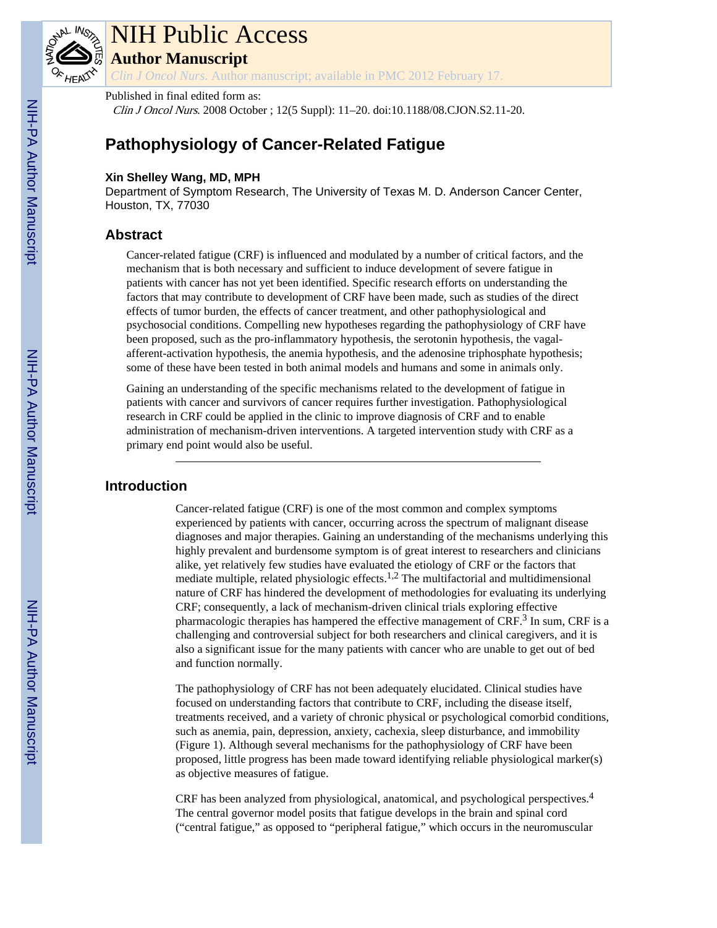

# NIH Public Access

**Author Manuscript**

*Clin J Oncol Nurs*. Author manuscript; available in PMC 2012 February 17.

# Published in final edited form as:

Clin J Oncol Nurs. 2008 October ; 12(5 Suppl): 11–20. doi:10.1188/08.CJON.S2.11-20.

# **Pathophysiology of Cancer-Related Fatigue**

#### **Xin Shelley Wang, MD, MPH**

Department of Symptom Research, The University of Texas M. D. Anderson Cancer Center, Houston, TX, 77030

# **Abstract**

Cancer-related fatigue (CRF) is influenced and modulated by a number of critical factors, and the mechanism that is both necessary and sufficient to induce development of severe fatigue in patients with cancer has not yet been identified. Specific research efforts on understanding the factors that may contribute to development of CRF have been made, such as studies of the direct effects of tumor burden, the effects of cancer treatment, and other pathophysiological and psychosocial conditions. Compelling new hypotheses regarding the pathophysiology of CRF have been proposed, such as the pro-inflammatory hypothesis, the serotonin hypothesis, the vagalafferent-activation hypothesis, the anemia hypothesis, and the adenosine triphosphate hypothesis; some of these have been tested in both animal models and humans and some in animals only.

Gaining an understanding of the specific mechanisms related to the development of fatigue in patients with cancer and survivors of cancer requires further investigation. Pathophysiological research in CRF could be applied in the clinic to improve diagnosis of CRF and to enable administration of mechanism-driven interventions. A targeted intervention study with CRF as a primary end point would also be useful.

# **Introduction**

Cancer-related fatigue (CRF) is one of the most common and complex symptoms experienced by patients with cancer, occurring across the spectrum of malignant disease diagnoses and major therapies. Gaining an understanding of the mechanisms underlying this highly prevalent and burdensome symptom is of great interest to researchers and clinicians alike, yet relatively few studies have evaluated the etiology of CRF or the factors that mediate multiple, related physiologic effects.1,2 The multifactorial and multidimensional nature of CRF has hindered the development of methodologies for evaluating its underlying CRF; consequently, a lack of mechanism-driven clinical trials exploring effective pharmacologic therapies has hampered the effective management of CRF.<sup>3</sup> In sum, CRF is a challenging and controversial subject for both researchers and clinical caregivers, and it is also a significant issue for the many patients with cancer who are unable to get out of bed and function normally.

The pathophysiology of CRF has not been adequately elucidated. Clinical studies have focused on understanding factors that contribute to CRF, including the disease itself, treatments received, and a variety of chronic physical or psychological comorbid conditions, such as anemia, pain, depression, anxiety, cachexia, sleep disturbance, and immobility (Figure 1). Although several mechanisms for the pathophysiology of CRF have been proposed, little progress has been made toward identifying reliable physiological marker(s) as objective measures of fatigue.

CRF has been analyzed from physiological, anatomical, and psychological perspectives.<sup>4</sup> The central governor model posits that fatigue develops in the brain and spinal cord ("central fatigue," as opposed to "peripheral fatigue," which occurs in the neuromuscular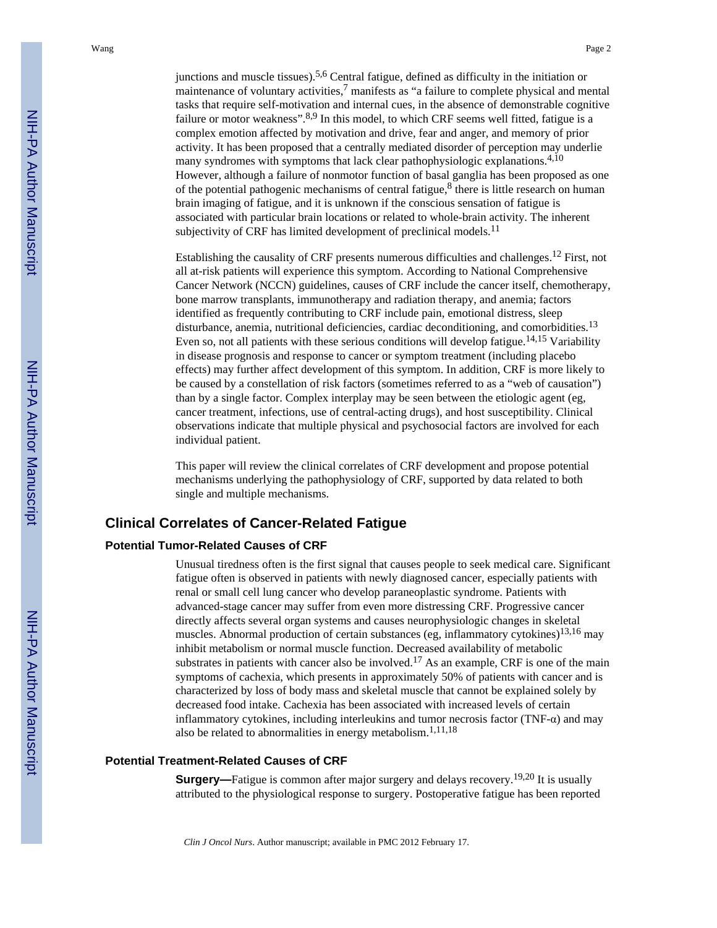junctions and muscle tissues).<sup>5,6</sup> Central fatigue, defined as difficulty in the initiation or maintenance of voluntary activities, $<sup>7</sup>$  manifests as "a failure to complete physical and mental</sup> tasks that require self-motivation and internal cues, in the absence of demonstrable cognitive failure or motor weakness".  $8.9$  In this model, to which CRF seems well fitted, fatigue is a complex emotion affected by motivation and drive, fear and anger, and memory of prior activity. It has been proposed that a centrally mediated disorder of perception may underlie many syndromes with symptoms that lack clear pathophysiologic explanations.<sup>4,10</sup> However, although a failure of nonmotor function of basal ganglia has been proposed as one of the potential pathogenic mechanisms of central fatigue,  $8$  there is little research on human brain imaging of fatigue, and it is unknown if the conscious sensation of fatigue is associated with particular brain locations or related to whole-brain activity. The inherent subjectivity of CRF has limited development of preclinical models.<sup>11</sup>

Establishing the causality of CRF presents numerous difficulties and challenges.12 First, not all at-risk patients will experience this symptom. According to National Comprehensive Cancer Network (NCCN) guidelines, causes of CRF include the cancer itself, chemotherapy, bone marrow transplants, immunotherapy and radiation therapy, and anemia; factors identified as frequently contributing to CRF include pain, emotional distress, sleep disturbance, anemia, nutritional deficiencies, cardiac deconditioning, and comorbidities.<sup>13</sup> Even so, not all patients with these serious conditions will develop fatigue.<sup>14,15</sup> Variability in disease prognosis and response to cancer or symptom treatment (including placebo effects) may further affect development of this symptom. In addition, CRF is more likely to be caused by a constellation of risk factors (sometimes referred to as a "web of causation") than by a single factor. Complex interplay may be seen between the etiologic agent (eg, cancer treatment, infections, use of central-acting drugs), and host susceptibility. Clinical observations indicate that multiple physical and psychosocial factors are involved for each individual patient.

This paper will review the clinical correlates of CRF development and propose potential mechanisms underlying the pathophysiology of CRF, supported by data related to both single and multiple mechanisms.

# **Clinical Correlates of Cancer-Related Fatigue**

#### **Potential Tumor-Related Causes of CRF**

Unusual tiredness often is the first signal that causes people to seek medical care. Significant fatigue often is observed in patients with newly diagnosed cancer, especially patients with renal or small cell lung cancer who develop paraneoplastic syndrome. Patients with advanced-stage cancer may suffer from even more distressing CRF. Progressive cancer directly affects several organ systems and causes neurophysiologic changes in skeletal muscles. Abnormal production of certain substances (eg, inflammatory cytokines) $13,16$  may inhibit metabolism or normal muscle function. Decreased availability of metabolic substrates in patients with cancer also be involved.<sup>17</sup> As an example, CRF is one of the main symptoms of cachexia, which presents in approximately 50% of patients with cancer and is characterized by loss of body mass and skeletal muscle that cannot be explained solely by decreased food intake. Cachexia has been associated with increased levels of certain inflammatory cytokines, including interleukins and tumor necrosis factor (TNF- $\alpha$ ) and may also be related to abnormalities in energy metabolism.<sup>1,11,18</sup>

#### **Potential Treatment-Related Causes of CRF**

**Surgery—**Fatigue is common after major surgery and delays recovery.<sup>19,20</sup> It is usually attributed to the physiological response to surgery. Postoperative fatigue has been reported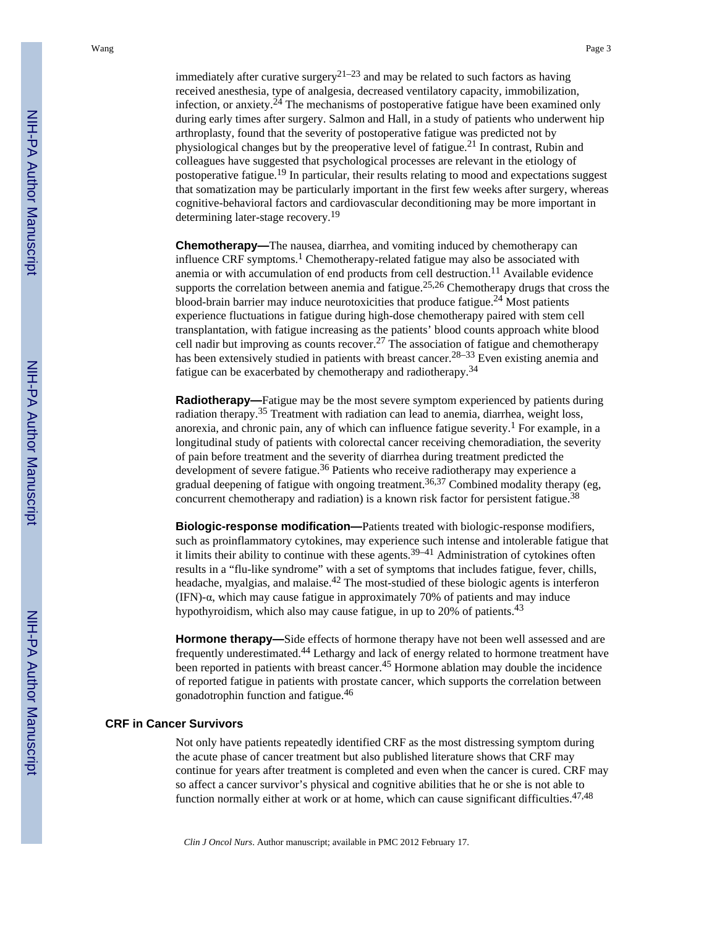immediately after curative surgery<sup>21–23</sup> and may be related to such factors as having received anesthesia, type of analgesia, decreased ventilatory capacity, immobilization, infection, or anxiety.24 The mechanisms of postoperative fatigue have been examined only during early times after surgery. Salmon and Hall, in a study of patients who underwent hip arthroplasty, found that the severity of postoperative fatigue was predicted not by physiological changes but by the preoperative level of fatigue.<sup>21</sup> In contrast, Rubin and colleagues have suggested that psychological processes are relevant in the etiology of postoperative fatigue.19 In particular, their results relating to mood and expectations suggest that somatization may be particularly important in the first few weeks after surgery, whereas cognitive-behavioral factors and cardiovascular deconditioning may be more important in determining later-stage recovery.<sup>19</sup>

**Chemotherapy—**The nausea, diarrhea, and vomiting induced by chemotherapy can influence CRF symptoms.<sup>1</sup> Chemotherapy-related fatigue may also be associated with anemia or with accumulation of end products from cell destruction.<sup>11</sup> Available evidence supports the correlation between anemia and fatigue.<sup>25,26</sup> Chemotherapy drugs that cross the blood-brain barrier may induce neurotoxicities that produce fatigue.<sup>24</sup> Most patients experience fluctuations in fatigue during high-dose chemotherapy paired with stem cell transplantation, with fatigue increasing as the patients' blood counts approach white blood cell nadir but improving as counts recover.<sup>27</sup> The association of fatigue and chemotherapy has been extensively studied in patients with breast cancer.<sup>28–33</sup> Even existing anemia and fatigue can be exacerbated by chemotherapy and radiotherapy.<sup>34</sup>

**Radiotherapy—**Fatigue may be the most severe symptom experienced by patients during radiation therapy.35 Treatment with radiation can lead to anemia, diarrhea, weight loss, anorexia, and chronic pain, any of which can influence fatigue severity.<sup>1</sup> For example, in a longitudinal study of patients with colorectal cancer receiving chemoradiation, the severity of pain before treatment and the severity of diarrhea during treatment predicted the development of severe fatigue.<sup>36</sup> Patients who receive radiotherapy may experience a gradual deepening of fatigue with ongoing treatment.36,37 Combined modality therapy (eg, concurrent chemotherapy and radiation) is a known risk factor for persistent fatigue.<sup>38</sup>

**Biologic-response modification—**Patients treated with biologic-response modifiers, such as proinflammatory cytokines, may experience such intense and intolerable fatigue that it limits their ability to continue with these agents.<sup>39–41</sup> Administration of cytokines often results in a "flu-like syndrome" with a set of symptoms that includes fatigue, fever, chills, headache, myalgias, and malaise. $42$  The most-studied of these biologic agents is interferon (IFN)- $\alpha$ , which may cause fatigue in approximately 70% of patients and may induce hypothyroidism, which also may cause fatigue, in up to 20% of patients.<sup>43</sup>

**Hormone therapy—**Side effects of hormone therapy have not been well assessed and are frequently underestimated.44 Lethargy and lack of energy related to hormone treatment have been reported in patients with breast cancer.<sup>45</sup> Hormone ablation may double the incidence of reported fatigue in patients with prostate cancer, which supports the correlation between gonadotrophin function and fatigue.<sup>46</sup>

#### **CRF in Cancer Survivors**

Not only have patients repeatedly identified CRF as the most distressing symptom during the acute phase of cancer treatment but also published literature shows that CRF may continue for years after treatment is completed and even when the cancer is cured. CRF may so affect a cancer survivor's physical and cognitive abilities that he or she is not able to function normally either at work or at home, which can cause significant difficulties. $47,48$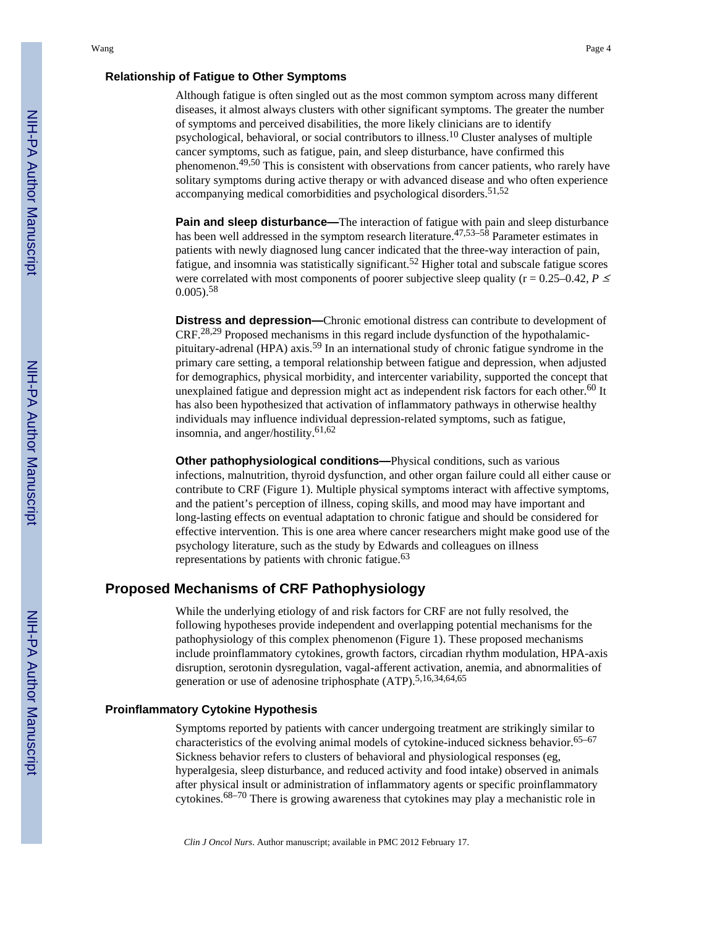#### **Relationship of Fatigue to Other Symptoms**

Although fatigue is often singled out as the most common symptom across many different diseases, it almost always clusters with other significant symptoms. The greater the number of symptoms and perceived disabilities, the more likely clinicians are to identify psychological, behavioral, or social contributors to illness.10 Cluster analyses of multiple cancer symptoms, such as fatigue, pain, and sleep disturbance, have confirmed this phenomenon.49,50 This is consistent with observations from cancer patients, who rarely have solitary symptoms during active therapy or with advanced disease and who often experience accompanying medical comorbidities and psychological disorders.<sup>51,52</sup>

**Pain and sleep disturbance—**The interaction of fatigue with pain and sleep disturbance has been well addressed in the symptom research literature.<sup>47,53–58</sup> Parameter estimates in patients with newly diagnosed lung cancer indicated that the three-way interaction of pain, fatigue, and insomnia was statistically significant.<sup>52</sup> Higher total and subscale fatigue scores were correlated with most components of poorer subjective sleep quality ( $r = 0.25-0.42$ ,  $P \leq$  $0.005$ .<sup>58</sup>

**Distress and depression—**Chronic emotional distress can contribute to development of  $CRF<sup>28,29</sup>$  Proposed mechanisms in this regard include dysfunction of the hypothalamicpituitary-adrenal (HPA) axis.59 In an international study of chronic fatigue syndrome in the primary care setting, a temporal relationship between fatigue and depression, when adjusted for demographics, physical morbidity, and intercenter variability, supported the concept that unexplained fatigue and depression might act as independent risk factors for each other.<sup>60</sup> It has also been hypothesized that activation of inflammatory pathways in otherwise healthy individuals may influence individual depression-related symptoms, such as fatigue, insomnia, and anger/hostility.61,62

**Other pathophysiological conditions—Physical conditions, such as various** infections, malnutrition, thyroid dysfunction, and other organ failure could all either cause or contribute to CRF (Figure 1). Multiple physical symptoms interact with affective symptoms, and the patient's perception of illness, coping skills, and mood may have important and long-lasting effects on eventual adaptation to chronic fatigue and should be considered for effective intervention. This is one area where cancer researchers might make good use of the psychology literature, such as the study by Edwards and colleagues on illness representations by patients with chronic fatigue.<sup>63</sup>

# **Proposed Mechanisms of CRF Pathophysiology**

While the underlying etiology of and risk factors for CRF are not fully resolved, the following hypotheses provide independent and overlapping potential mechanisms for the pathophysiology of this complex phenomenon (Figure 1). These proposed mechanisms include proinflammatory cytokines, growth factors, circadian rhythm modulation, HPA-axis disruption, serotonin dysregulation, vagal-afferent activation, anemia, and abnormalities of generation or use of adenosine triphosphate  $(ATP)$ .<sup>5,16,34,64,65</sup>

#### **Proinflammatory Cytokine Hypothesis**

Symptoms reported by patients with cancer undergoing treatment are strikingly similar to characteristics of the evolving animal models of cytokine-induced sickness behavior.  $65-67$ Sickness behavior refers to clusters of behavioral and physiological responses (eg, hyperalgesia, sleep disturbance, and reduced activity and food intake) observed in animals after physical insult or administration of inflammatory agents or specific proinflammatory cytokines.68–70 There is growing awareness that cytokines may play a mechanistic role in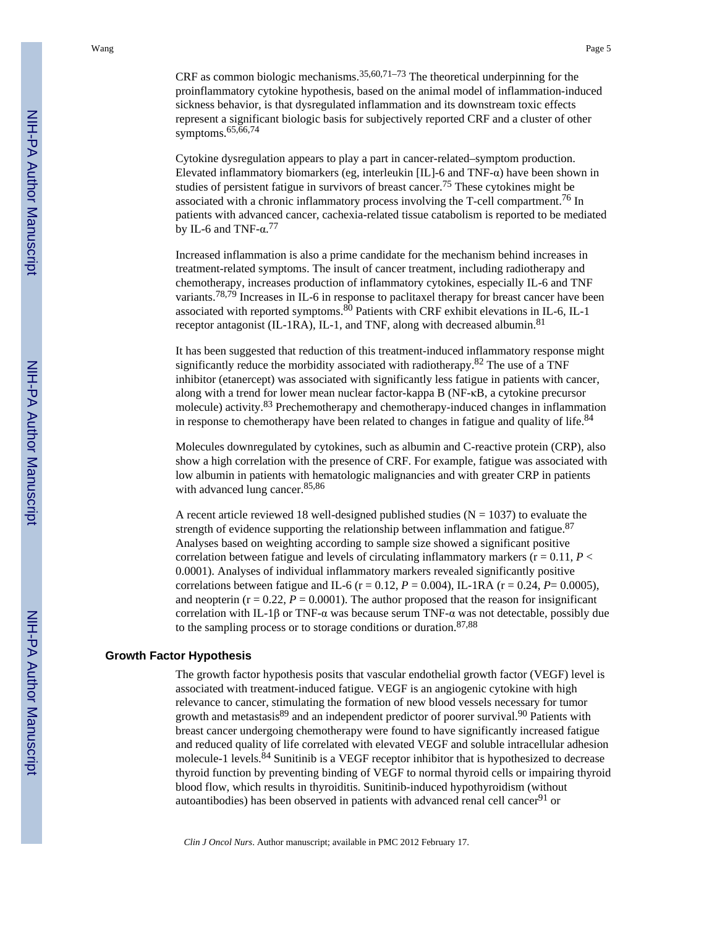CRF as common biologic mechanisms.  $35,60,71-73$  The theoretical underpinning for the proinflammatory cytokine hypothesis, based on the animal model of inflammation-induced sickness behavior, is that dysregulated inflammation and its downstream toxic effects represent a significant biologic basis for subjectively reported CRF and a cluster of other symptoms. $65,66,74$ 

Cytokine dysregulation appears to play a part in cancer-related–symptom production. Elevated inflammatory biomarkers (eg, interleukin [IL]-6 and TNF-α) have been shown in studies of persistent fatigue in survivors of breast cancer.75 These cytokines might be associated with a chronic inflammatory process involving the T-cell compartment.76 In patients with advanced cancer, cachexia-related tissue catabolism is reported to be mediated by IL-6 and TNF- $\alpha$ .<sup>77</sup>

Increased inflammation is also a prime candidate for the mechanism behind increases in treatment-related symptoms. The insult of cancer treatment, including radiotherapy and chemotherapy, increases production of inflammatory cytokines, especially IL-6 and TNF variants.78,79 Increases in IL-6 in response to paclitaxel therapy for breast cancer have been associated with reported symptoms. $80$  Patients with CRF exhibit elevations in IL-6, IL-1 receptor antagonist (IL-1RA), IL-1, and TNF, along with decreased albumin.<sup>81</sup>

It has been suggested that reduction of this treatment-induced inflammatory response might significantly reduce the morbidity associated with radiotherapy.82 The use of a TNF inhibitor (etanercept) was associated with significantly less fatigue in patients with cancer, along with a trend for lower mean nuclear factor-kappa B (NF-κB, a cytokine precursor molecule) activity.83 Prechemotherapy and chemotherapy-induced changes in inflammation in response to chemotherapy have been related to changes in fatigue and quality of life. $84$ 

Molecules downregulated by cytokines, such as albumin and C-reactive protein (CRP), also show a high correlation with the presence of CRF. For example, fatigue was associated with low albumin in patients with hematologic malignancies and with greater CRP in patients with advanced lung cancer.<sup>85,86</sup>

A recent article reviewed 18 well-designed published studies ( $N = 1037$ ) to evaluate the strength of evidence supporting the relationship between inflammation and fatigue. $87$ Analyses based on weighting according to sample size showed a significant positive correlation between fatigue and levels of circulating inflammatory markers ( $r = 0.11$ ,  $P \leq$ 0.0001). Analyses of individual inflammatory markers revealed significantly positive correlations between fatigue and IL-6 ( $r = 0.12$ ,  $P = 0.004$ ), IL-1RA ( $r = 0.24$ ,  $P = 0.0005$ ), and neopterin ( $r = 0.22$ ,  $P = 0.0001$ ). The author proposed that the reason for insignificant correlation with IL-1β or TNF- $\alpha$  was because serum TNF- $\alpha$  was not detectable, possibly due to the sampling process or to storage conditions or duration.87,88

#### **Growth Factor Hypothesis**

The growth factor hypothesis posits that vascular endothelial growth factor (VEGF) level is associated with treatment-induced fatigue. VEGF is an angiogenic cytokine with high relevance to cancer, stimulating the formation of new blood vessels necessary for tumor growth and metastasis $89$  and an independent predictor of poorer survival.  $90$  Patients with breast cancer undergoing chemotherapy were found to have significantly increased fatigue and reduced quality of life correlated with elevated VEGF and soluble intracellular adhesion molecule-1 levels.<sup>84</sup> Sunitinib is a VEGF receptor inhibitor that is hypothesized to decrease thyroid function by preventing binding of VEGF to normal thyroid cells or impairing thyroid blood flow, which results in thyroiditis. Sunitinib-induced hypothyroidism (without autoantibodies) has been observed in patients with advanced renal cell cancer<sup>91</sup> or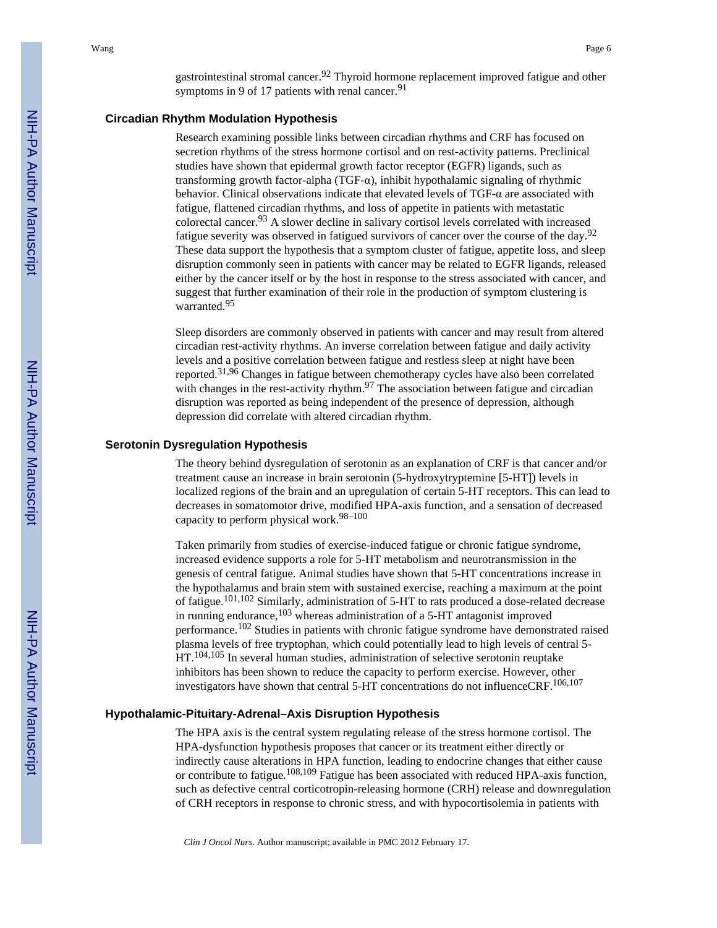gastrointestinal stromal cancer.<sup>92</sup> Thyroid hormone replacement improved fatigue and other symptoms in 9 of 17 patients with renal cancer.  $91$ 

#### **Circadian Rhythm Modulation Hypothesis**

Research examining possible links between circadian rhythms and CRF has focused on secretion rhythms of the stress hormone cortisol and on rest-activity patterns. Preclinical studies have shown that epidermal growth factor receptor (EGFR) ligands, such as transforming growth factor-alpha (TGF-α), inhibit hypothalamic signaling of rhythmic behavior. Clinical observations indicate that elevated levels of TGF-α are associated with fatigue, flattened circadian rhythms, and loss of appetite in patients with metastatic colorectal cancer.93 A slower decline in salivary cortisol levels correlated with increased fatigue severity was observed in fatigued survivors of cancer over the course of the day.<sup>92</sup> These data support the hypothesis that a symptom cluster of fatigue, appetite loss, and sleep disruption commonly seen in patients with cancer may be related to EGFR ligands, released either by the cancer itself or by the host in response to the stress associated with cancer, and suggest that further examination of their role in the production of symptom clustering is warranted.<sup>95</sup>

Sleep disorders are commonly observed in patients with cancer and may result from altered circadian rest-activity rhythms. An inverse correlation between fatigue and daily activity levels and a positive correlation between fatigue and restless sleep at night have been reported.31,96 Changes in fatigue between chemotherapy cycles have also been correlated with changes in the rest-activity rhythm.<sup>97</sup> The association between fatigue and circadian disruption was reported as being independent of the presence of depression, although depression did correlate with altered circadian rhythm.

#### **Serotonin Dysregulation Hypothesis**

The theory behind dysregulation of serotonin as an explanation of CRF is that cancer and/or treatment cause an increase in brain serotonin (5-hydroxytryptemine [5-HT]) levels in localized regions of the brain and an upregulation of certain 5-HT receptors. This can lead to decreases in somatomotor drive, modified HPA-axis function, and a sensation of decreased capacity to perform physical work.98–100

Taken primarily from studies of exercise-induced fatigue or chronic fatigue syndrome, increased evidence supports a role for 5-HT metabolism and neurotransmission in the genesis of central fatigue. Animal studies have shown that 5-HT concentrations increase in the hypothalamus and brain stem with sustained exercise, reaching a maximum at the point of fatigue.101,102 Similarly, administration of 5-HT to rats produced a dose-related decrease in running endurance,103 whereas administration of a 5-HT antagonist improved performance.102 Studies in patients with chronic fatigue syndrome have demonstrated raised plasma levels of free tryptophan, which could potentially lead to high levels of central 5- HT.<sup>104,105</sup> In several human studies, administration of selective serotonin reuptake inhibitors has been shown to reduce the capacity to perform exercise. However, other investigators have shown that central 5-HT concentrations do not influenceCRF.106,107

#### **Hypothalamic-Pituitary-Adrenal–Axis Disruption Hypothesis**

The HPA axis is the central system regulating release of the stress hormone cortisol. The HPA-dysfunction hypothesis proposes that cancer or its treatment either directly or indirectly cause alterations in HPA function, leading to endocrine changes that either cause or contribute to fatigue.108,109 Fatigue has been associated with reduced HPA-axis function, such as defective central corticotropin-releasing hormone (CRH) release and downregulation of CRH receptors in response to chronic stress, and with hypocortisolemia in patients with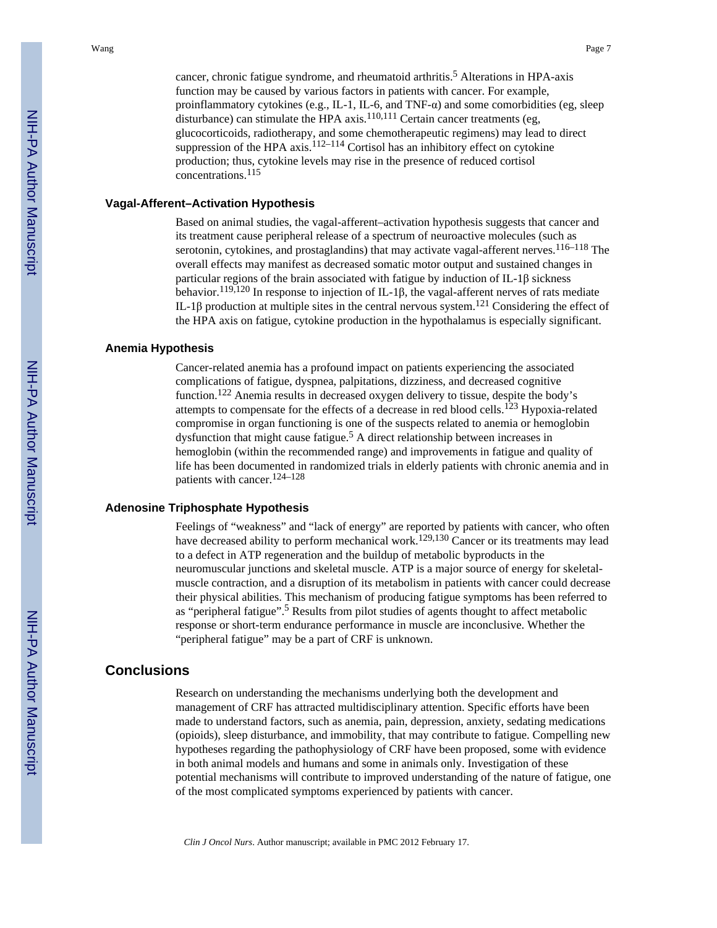cancer, chronic fatigue syndrome, and rheumatoid arthritis.<sup>5</sup> Alterations in HPA-axis function may be caused by various factors in patients with cancer. For example, proinflammatory cytokines (e.g., IL-1, IL-6, and TNF-α) and some comorbidities (eg, sleep disturbance) can stimulate the HPA  $\alpha$ xis.<sup>110,111</sup> Certain cancer treatments (eg, glucocorticoids, radiotherapy, and some chemotherapeutic regimens) may lead to direct suppression of the HPA axis.<sup>112–114</sup> Cortisol has an inhibitory effect on cytokine production; thus, cytokine levels may rise in the presence of reduced cortisol concentrations.<sup>115</sup>

#### **Vagal-Afferent–Activation Hypothesis**

Based on animal studies, the vagal-afferent–activation hypothesis suggests that cancer and its treatment cause peripheral release of a spectrum of neuroactive molecules (such as serotonin, cytokines, and prostaglandins) that may activate vagal-afferent nerves.<sup>116–118</sup> The overall effects may manifest as decreased somatic motor output and sustained changes in particular regions of the brain associated with fatigue by induction of IL-1β sickness behavior.<sup>119,120</sup> In response to injection of IL-1β, the vagal-afferent nerves of rats mediate IL-1β production at multiple sites in the central nervous system.<sup>121</sup> Considering the effect of the HPA axis on fatigue, cytokine production in the hypothalamus is especially significant.

#### **Anemia Hypothesis**

Cancer-related anemia has a profound impact on patients experiencing the associated complications of fatigue, dyspnea, palpitations, dizziness, and decreased cognitive function.122 Anemia results in decreased oxygen delivery to tissue, despite the body's attempts to compensate for the effects of a decrease in red blood cells.<sup>123</sup> Hypoxia-related compromise in organ functioning is one of the suspects related to anemia or hemoglobin dysfunction that might cause fatigue.<sup>5</sup> A direct relationship between increases in hemoglobin (within the recommended range) and improvements in fatigue and quality of life has been documented in randomized trials in elderly patients with chronic anemia and in patients with cancer.124–128

### **Adenosine Triphosphate Hypothesis**

Feelings of "weakness" and "lack of energy" are reported by patients with cancer, who often have decreased ability to perform mechanical work.<sup>129,130</sup> Cancer or its treatments may lead to a defect in ATP regeneration and the buildup of metabolic byproducts in the neuromuscular junctions and skeletal muscle. ATP is a major source of energy for skeletalmuscle contraction, and a disruption of its metabolism in patients with cancer could decrease their physical abilities. This mechanism of producing fatigue symptoms has been referred to as "peripheral fatigue".<sup>5</sup> Results from pilot studies of agents thought to affect metabolic response or short-term endurance performance in muscle are inconclusive. Whether the "peripheral fatigue" may be a part of CRF is unknown.

#### **Conclusions**

Research on understanding the mechanisms underlying both the development and management of CRF has attracted multidisciplinary attention. Specific efforts have been made to understand factors, such as anemia, pain, depression, anxiety, sedating medications (opioids), sleep disturbance, and immobility, that may contribute to fatigue. Compelling new hypotheses regarding the pathophysiology of CRF have been proposed, some with evidence in both animal models and humans and some in animals only. Investigation of these potential mechanisms will contribute to improved understanding of the nature of fatigue, one of the most complicated symptoms experienced by patients with cancer.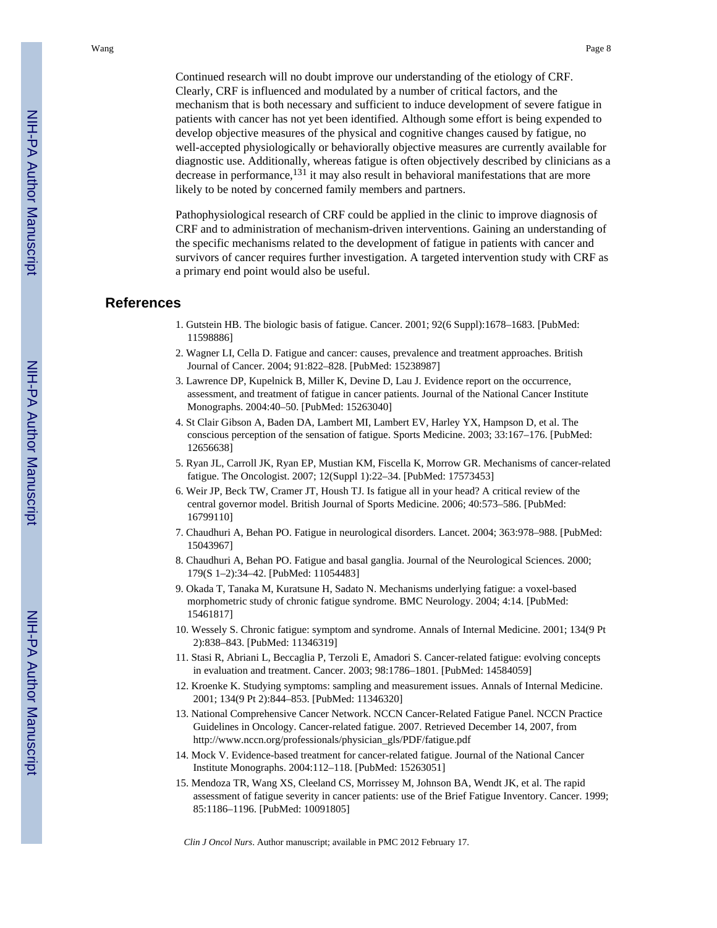Continued research will no doubt improve our understanding of the etiology of CRF. Clearly, CRF is influenced and modulated by a number of critical factors, and the mechanism that is both necessary and sufficient to induce development of severe fatigue in patients with cancer has not yet been identified. Although some effort is being expended to develop objective measures of the physical and cognitive changes caused by fatigue, no well-accepted physiologically or behaviorally objective measures are currently available for diagnostic use. Additionally, whereas fatigue is often objectively described by clinicians as a decrease in performance, $1^{31}$  it may also result in behavioral manifestations that are more likely to be noted by concerned family members and partners.

Pathophysiological research of CRF could be applied in the clinic to improve diagnosis of CRF and to administration of mechanism-driven interventions. Gaining an understanding of the specific mechanisms related to the development of fatigue in patients with cancer and survivors of cancer requires further investigation. A targeted intervention study with CRF as a primary end point would also be useful.

# **References**

- 1. Gutstein HB. The biologic basis of fatigue. Cancer. 2001; 92(6 Suppl):1678–1683. [PubMed: 11598886]
- 2. Wagner LI, Cella D. Fatigue and cancer: causes, prevalence and treatment approaches. British Journal of Cancer. 2004; 91:822–828. [PubMed: 15238987]
- 3. Lawrence DP, Kupelnick B, Miller K, Devine D, Lau J. Evidence report on the occurrence, assessment, and treatment of fatigue in cancer patients. Journal of the National Cancer Institute Monographs. 2004:40–50. [PubMed: 15263040]
- 4. St Clair Gibson A, Baden DA, Lambert MI, Lambert EV, Harley YX, Hampson D, et al. The conscious perception of the sensation of fatigue. Sports Medicine. 2003; 33:167–176. [PubMed: 12656638]
- 5. Ryan JL, Carroll JK, Ryan EP, Mustian KM, Fiscella K, Morrow GR. Mechanisms of cancer-related fatigue. The Oncologist. 2007; 12(Suppl 1):22–34. [PubMed: 17573453]
- 6. Weir JP, Beck TW, Cramer JT, Housh TJ. Is fatigue all in your head? A critical review of the central governor model. British Journal of Sports Medicine. 2006; 40:573–586. [PubMed: 16799110]
- 7. Chaudhuri A, Behan PO. Fatigue in neurological disorders. Lancet. 2004; 363:978–988. [PubMed: 15043967]
- 8. Chaudhuri A, Behan PO. Fatigue and basal ganglia. Journal of the Neurological Sciences. 2000; 179(S 1–2):34–42. [PubMed: 11054483]
- 9. Okada T, Tanaka M, Kuratsune H, Sadato N. Mechanisms underlying fatigue: a voxel-based morphometric study of chronic fatigue syndrome. BMC Neurology. 2004; 4:14. [PubMed: 15461817]
- 10. Wessely S. Chronic fatigue: symptom and syndrome. Annals of Internal Medicine. 2001; 134(9 Pt 2):838–843. [PubMed: 11346319]
- 11. Stasi R, Abriani L, Beccaglia P, Terzoli E, Amadori S. Cancer-related fatigue: evolving concepts in evaluation and treatment. Cancer. 2003; 98:1786–1801. [PubMed: 14584059]
- 12. Kroenke K. Studying symptoms: sampling and measurement issues. Annals of Internal Medicine. 2001; 134(9 Pt 2):844–853. [PubMed: 11346320]
- 13. National Comprehensive Cancer Network. NCCN Cancer-Related Fatigue Panel. NCCN Practice Guidelines in Oncology. Cancer-related fatigue. 2007. Retrieved December 14, 2007, from http://www.nccn.org/professionals/physician\_gls/PDF/fatigue.pdf
- 14. Mock V. Evidence-based treatment for cancer-related fatigue. Journal of the National Cancer Institute Monographs. 2004:112–118. [PubMed: 15263051]
- 15. Mendoza TR, Wang XS, Cleeland CS, Morrissey M, Johnson BA, Wendt JK, et al. The rapid assessment of fatigue severity in cancer patients: use of the Brief Fatigue Inventory. Cancer. 1999; 85:1186–1196. [PubMed: 10091805]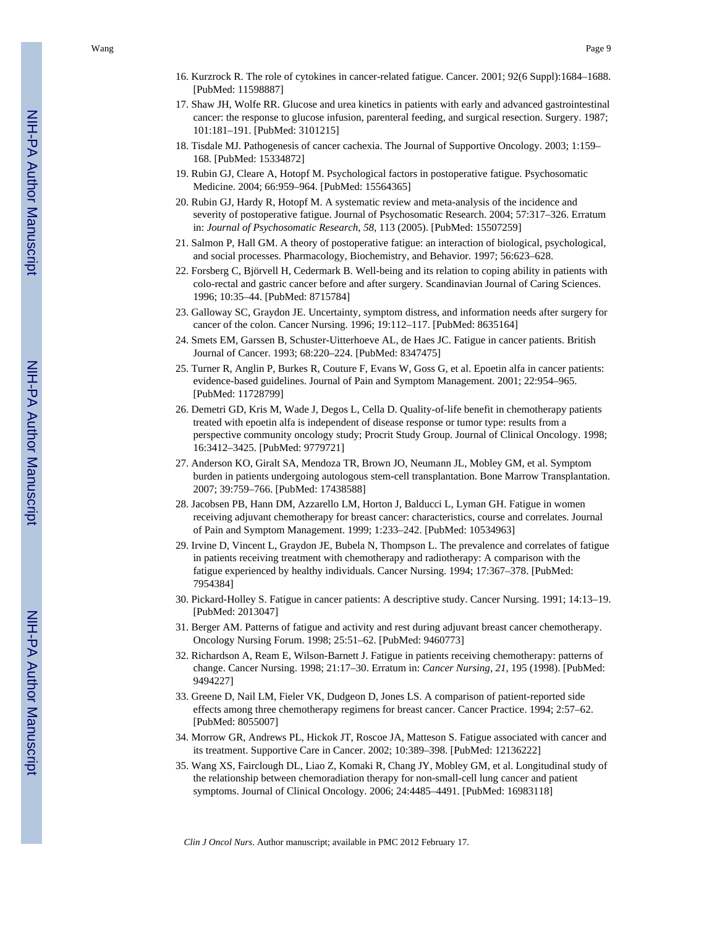- 16. Kurzrock R. The role of cytokines in cancer-related fatigue. Cancer. 2001; 92(6 Suppl):1684–1688. [PubMed: 11598887]
- 17. Shaw JH, Wolfe RR. Glucose and urea kinetics in patients with early and advanced gastrointestinal cancer: the response to glucose infusion, parenteral feeding, and surgical resection. Surgery. 1987; 101:181–191. [PubMed: 3101215]
- 18. Tisdale MJ. Pathogenesis of cancer cachexia. The Journal of Supportive Oncology. 2003; 1:159– 168. [PubMed: 15334872]
- 19. Rubin GJ, Cleare A, Hotopf M. Psychological factors in postoperative fatigue. Psychosomatic Medicine. 2004; 66:959–964. [PubMed: 15564365]
- 20. Rubin GJ, Hardy R, Hotopf M. A systematic review and meta-analysis of the incidence and severity of postoperative fatigue. Journal of Psychosomatic Research. 2004; 57:317–326. Erratum in: *Journal of Psychosomatic Research*, *58,* 113 (2005). [PubMed: 15507259]
- 21. Salmon P, Hall GM. A theory of postoperative fatigue: an interaction of biological, psychological, and social processes. Pharmacology, Biochemistry, and Behavior. 1997; 56:623–628.
- 22. Forsberg C, Björvell H, Cedermark B. Well-being and its relation to coping ability in patients with colo-rectal and gastric cancer before and after surgery. Scandinavian Journal of Caring Sciences. 1996; 10:35–44. [PubMed: 8715784]
- 23. Galloway SC, Graydon JE. Uncertainty, symptom distress, and information needs after surgery for cancer of the colon. Cancer Nursing. 1996; 19:112–117. [PubMed: 8635164]
- 24. Smets EM, Garssen B, Schuster-Uitterhoeve AL, de Haes JC. Fatigue in cancer patients. British Journal of Cancer. 1993; 68:220–224. [PubMed: 8347475]
- 25. Turner R, Anglin P, Burkes R, Couture F, Evans W, Goss G, et al. Epoetin alfa in cancer patients: evidence-based guidelines. Journal of Pain and Symptom Management. 2001; 22:954–965. [PubMed: 11728799]
- 26. Demetri GD, Kris M, Wade J, Degos L, Cella D. Quality-of-life benefit in chemotherapy patients treated with epoetin alfa is independent of disease response or tumor type: results from a perspective community oncology study; Procrit Study Group. Journal of Clinical Oncology. 1998; 16:3412–3425. [PubMed: 9779721]
- 27. Anderson KO, Giralt SA, Mendoza TR, Brown JO, Neumann JL, Mobley GM, et al. Symptom burden in patients undergoing autologous stem-cell transplantation. Bone Marrow Transplantation. 2007; 39:759–766. [PubMed: 17438588]
- 28. Jacobsen PB, Hann DM, Azzarello LM, Horton J, Balducci L, Lyman GH. Fatigue in women receiving adjuvant chemotherapy for breast cancer: characteristics, course and correlates. Journal of Pain and Symptom Management. 1999; 1:233–242. [PubMed: 10534963]
- 29. Irvine D, Vincent L, Graydon JE, Bubela N, Thompson L. The prevalence and correlates of fatigue in patients receiving treatment with chemotherapy and radiotherapy: A comparison with the fatigue experienced by healthy individuals. Cancer Nursing. 1994; 17:367–378. [PubMed: 7954384]
- 30. Pickard-Holley S. Fatigue in cancer patients: A descriptive study. Cancer Nursing. 1991; 14:13–19. [PubMed: 2013047]
- 31. Berger AM. Patterns of fatigue and activity and rest during adjuvant breast cancer chemotherapy. Oncology Nursing Forum. 1998; 25:51–62. [PubMed: 9460773]
- 32. Richardson A, Ream E, Wilson-Barnett J. Fatigue in patients receiving chemotherapy: patterns of change. Cancer Nursing. 1998; 21:17–30. Erratum in: *Cancer Nursing, 21,* 195 (1998). [PubMed: 9494227]
- 33. Greene D, Nail LM, Fieler VK, Dudgeon D, Jones LS. A comparison of patient-reported side effects among three chemotherapy regimens for breast cancer. Cancer Practice. 1994; 2:57–62. [PubMed: 8055007]
- 34. Morrow GR, Andrews PL, Hickok JT, Roscoe JA, Matteson S. Fatigue associated with cancer and its treatment. Supportive Care in Cancer. 2002; 10:389–398. [PubMed: 12136222]
- 35. Wang XS, Fairclough DL, Liao Z, Komaki R, Chang JY, Mobley GM, et al. Longitudinal study of the relationship between chemoradiation therapy for non-small-cell lung cancer and patient symptoms. Journal of Clinical Oncology. 2006; 24:4485–4491. [PubMed: 16983118]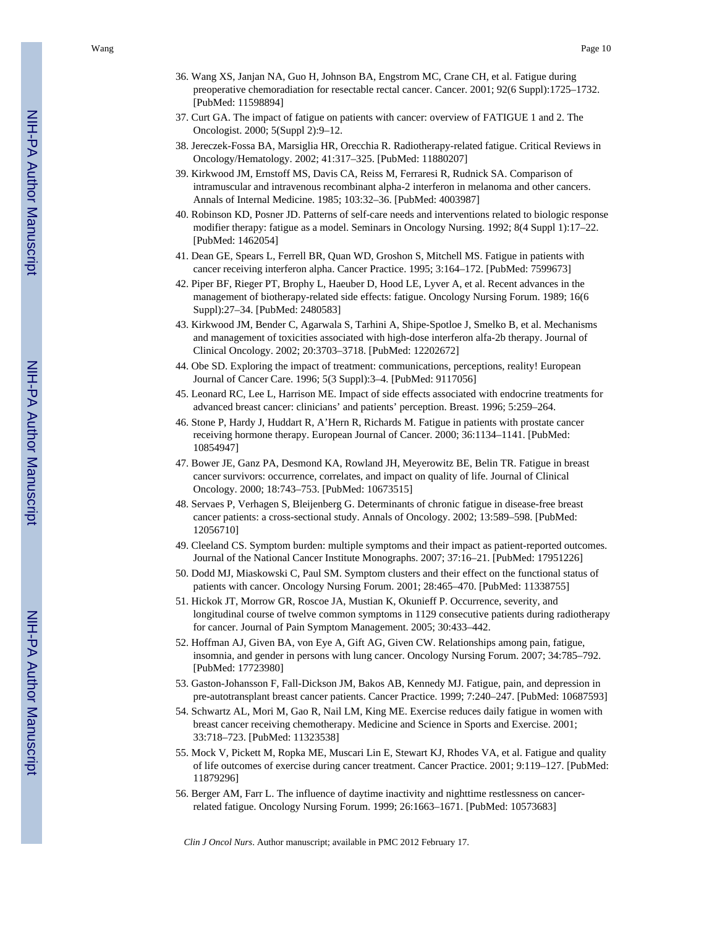- 36. Wang XS, Janjan NA, Guo H, Johnson BA, Engstrom MC, Crane CH, et al. Fatigue during preoperative chemoradiation for resectable rectal cancer. Cancer. 2001; 92(6 Suppl):1725–1732. [PubMed: 11598894]
- 37. Curt GA. The impact of fatigue on patients with cancer: overview of FATIGUE 1 and 2. The Oncologist. 2000; 5(Suppl 2):9–12.
- 38. Jereczek-Fossa BA, Marsiglia HR, Orecchia R. Radiotherapy-related fatigue. Critical Reviews in Oncology/Hematology. 2002; 41:317–325. [PubMed: 11880207]
- 39. Kirkwood JM, Ernstoff MS, Davis CA, Reiss M, Ferraresi R, Rudnick SA. Comparison of intramuscular and intravenous recombinant alpha-2 interferon in melanoma and other cancers. Annals of Internal Medicine. 1985; 103:32–36. [PubMed: 4003987]
- 40. Robinson KD, Posner JD. Patterns of self-care needs and interventions related to biologic response modifier therapy: fatigue as a model. Seminars in Oncology Nursing. 1992; 8(4 Suppl 1):17–22. [PubMed: 1462054]
- 41. Dean GE, Spears L, Ferrell BR, Quan WD, Groshon S, Mitchell MS. Fatigue in patients with cancer receiving interferon alpha. Cancer Practice. 1995; 3:164–172. [PubMed: 7599673]
- 42. Piper BF, Rieger PT, Brophy L, Haeuber D, Hood LE, Lyver A, et al. Recent advances in the management of biotherapy-related side effects: fatigue. Oncology Nursing Forum. 1989; 16(6 Suppl):27–34. [PubMed: 2480583]
- 43. Kirkwood JM, Bender C, Agarwala S, Tarhini A, Shipe-Spotloe J, Smelko B, et al. Mechanisms and management of toxicities associated with high-dose interferon alfa-2b therapy. Journal of Clinical Oncology. 2002; 20:3703–3718. [PubMed: 12202672]
- 44. Obe SD. Exploring the impact of treatment: communications, perceptions, reality! European Journal of Cancer Care. 1996; 5(3 Suppl):3–4. [PubMed: 9117056]
- 45. Leonard RC, Lee L, Harrison ME. Impact of side effects associated with endocrine treatments for advanced breast cancer: clinicians' and patients' perception. Breast. 1996; 5:259–264.
- 46. Stone P, Hardy J, Huddart R, A'Hern R, Richards M. Fatigue in patients with prostate cancer receiving hormone therapy. European Journal of Cancer. 2000; 36:1134–1141. [PubMed: 10854947]
- 47. Bower JE, Ganz PA, Desmond KA, Rowland JH, Meyerowitz BE, Belin TR. Fatigue in breast cancer survivors: occurrence, correlates, and impact on quality of life. Journal of Clinical Oncology. 2000; 18:743–753. [PubMed: 10673515]
- 48. Servaes P, Verhagen S, Bleijenberg G. Determinants of chronic fatigue in disease-free breast cancer patients: a cross-sectional study. Annals of Oncology. 2002; 13:589–598. [PubMed: 12056710]
- 49. Cleeland CS. Symptom burden: multiple symptoms and their impact as patient-reported outcomes. Journal of the National Cancer Institute Monographs. 2007; 37:16–21. [PubMed: 17951226]
- 50. Dodd MJ, Miaskowski C, Paul SM. Symptom clusters and their effect on the functional status of patients with cancer. Oncology Nursing Forum. 2001; 28:465–470. [PubMed: 11338755]
- 51. Hickok JT, Morrow GR, Roscoe JA, Mustian K, Okunieff P. Occurrence, severity, and longitudinal course of twelve common symptoms in 1129 consecutive patients during radiotherapy for cancer. Journal of Pain Symptom Management. 2005; 30:433–442.
- 52. Hoffman AJ, Given BA, von Eye A, Gift AG, Given CW. Relationships among pain, fatigue, insomnia, and gender in persons with lung cancer. Oncology Nursing Forum. 2007; 34:785–792. [PubMed: 17723980]
- 53. Gaston-Johansson F, Fall-Dickson JM, Bakos AB, Kennedy MJ. Fatigue, pain, and depression in pre-autotransplant breast cancer patients. Cancer Practice. 1999; 7:240–247. [PubMed: 10687593]
- 54. Schwartz AL, Mori M, Gao R, Nail LM, King ME. Exercise reduces daily fatigue in women with breast cancer receiving chemotherapy. Medicine and Science in Sports and Exercise. 2001; 33:718–723. [PubMed: 11323538]
- 55. Mock V, Pickett M, Ropka ME, Muscari Lin E, Stewart KJ, Rhodes VA, et al. Fatigue and quality of life outcomes of exercise during cancer treatment. Cancer Practice. 2001; 9:119–127. [PubMed: 11879296]
- 56. Berger AM, Farr L. The influence of daytime inactivity and nighttime restlessness on cancerrelated fatigue. Oncology Nursing Forum. 1999; 26:1663–1671. [PubMed: 10573683]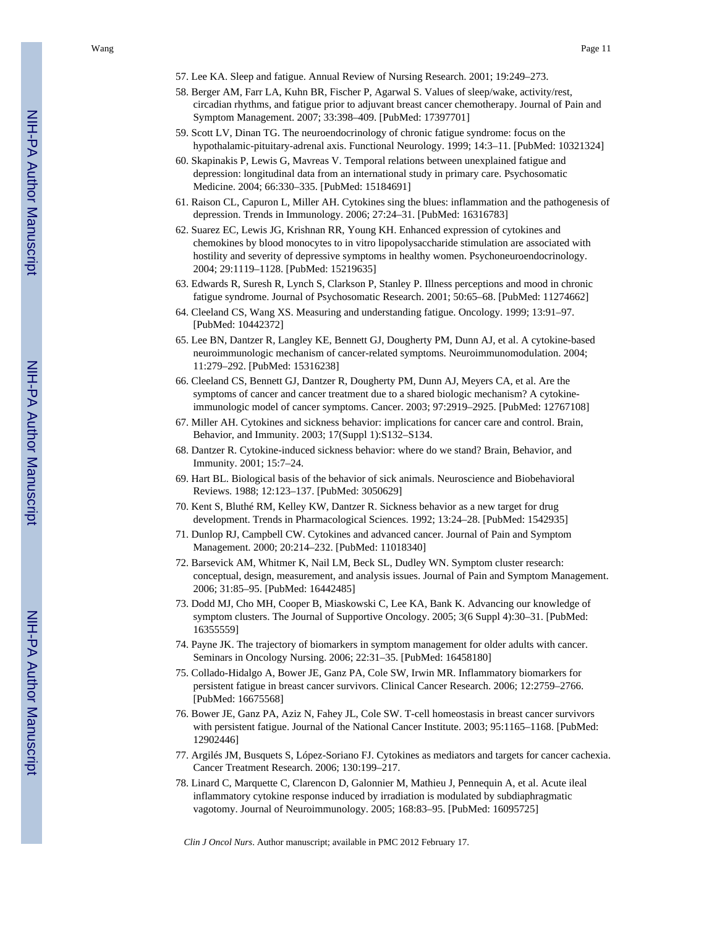- 57. Lee KA. Sleep and fatigue. Annual Review of Nursing Research. 2001; 19:249–273.
- 58. Berger AM, Farr LA, Kuhn BR, Fischer P, Agarwal S. Values of sleep/wake, activity/rest, circadian rhythms, and fatigue prior to adjuvant breast cancer chemotherapy. Journal of Pain and Symptom Management. 2007; 33:398–409. [PubMed: 17397701]
- 59. Scott LV, Dinan TG. The neuroendocrinology of chronic fatigue syndrome: focus on the hypothalamic-pituitary-adrenal axis. Functional Neurology. 1999; 14:3–11. [PubMed: 10321324]
- 60. Skapinakis P, Lewis G, Mavreas V. Temporal relations between unexplained fatigue and depression: longitudinal data from an international study in primary care. Psychosomatic Medicine. 2004; 66:330–335. [PubMed: 15184691]
- 61. Raison CL, Capuron L, Miller AH. Cytokines sing the blues: inflammation and the pathogenesis of depression. Trends in Immunology. 2006; 27:24–31. [PubMed: 16316783]
- 62. Suarez EC, Lewis JG, Krishnan RR, Young KH. Enhanced expression of cytokines and chemokines by blood monocytes to in vitro lipopolysaccharide stimulation are associated with hostility and severity of depressive symptoms in healthy women. Psychoneuroendocrinology. 2004; 29:1119–1128. [PubMed: 15219635]
- 63. Edwards R, Suresh R, Lynch S, Clarkson P, Stanley P. Illness perceptions and mood in chronic fatigue syndrome. Journal of Psychosomatic Research. 2001; 50:65–68. [PubMed: 11274662]
- 64. Cleeland CS, Wang XS. Measuring and understanding fatigue. Oncology. 1999; 13:91–97. [PubMed: 10442372]
- 65. Lee BN, Dantzer R, Langley KE, Bennett GJ, Dougherty PM, Dunn AJ, et al. A cytokine-based neuroimmunologic mechanism of cancer-related symptoms. Neuroimmunomodulation. 2004; 11:279–292. [PubMed: 15316238]
- 66. Cleeland CS, Bennett GJ, Dantzer R, Dougherty PM, Dunn AJ, Meyers CA, et al. Are the symptoms of cancer and cancer treatment due to a shared biologic mechanism? A cytokineimmunologic model of cancer symptoms. Cancer. 2003; 97:2919–2925. [PubMed: 12767108]
- 67. Miller AH. Cytokines and sickness behavior: implications for cancer care and control. Brain, Behavior, and Immunity. 2003; 17(Suppl 1):S132–S134.
- 68. Dantzer R. Cytokine-induced sickness behavior: where do we stand? Brain, Behavior, and Immunity. 2001; 15:7–24.
- 69. Hart BL. Biological basis of the behavior of sick animals. Neuroscience and Biobehavioral Reviews. 1988; 12:123–137. [PubMed: 3050629]
- 70. Kent S, Bluthé RM, Kelley KW, Dantzer R. Sickness behavior as a new target for drug development. Trends in Pharmacological Sciences. 1992; 13:24–28. [PubMed: 1542935]
- 71. Dunlop RJ, Campbell CW. Cytokines and advanced cancer. Journal of Pain and Symptom Management. 2000; 20:214–232. [PubMed: 11018340]
- 72. Barsevick AM, Whitmer K, Nail LM, Beck SL, Dudley WN. Symptom cluster research: conceptual, design, measurement, and analysis issues. Journal of Pain and Symptom Management. 2006; 31:85–95. [PubMed: 16442485]
- 73. Dodd MJ, Cho MH, Cooper B, Miaskowski C, Lee KA, Bank K. Advancing our knowledge of symptom clusters. The Journal of Supportive Oncology. 2005; 3(6 Suppl 4):30–31. [PubMed: 16355559]
- 74. Payne JK. The trajectory of biomarkers in symptom management for older adults with cancer. Seminars in Oncology Nursing. 2006; 22:31–35. [PubMed: 16458180]
- 75. Collado-Hidalgo A, Bower JE, Ganz PA, Cole SW, Irwin MR. Inflammatory biomarkers for persistent fatigue in breast cancer survivors. Clinical Cancer Research. 2006; 12:2759–2766. [PubMed: 16675568]
- 76. Bower JE, Ganz PA, Aziz N, Fahey JL, Cole SW. T-cell homeostasis in breast cancer survivors with persistent fatigue. Journal of the National Cancer Institute. 2003; 95:1165–1168. [PubMed: 12902446]
- 77. Argilés JM, Busquets S, López-Soriano FJ. Cytokines as mediators and targets for cancer cachexia. Cancer Treatment Research. 2006; 130:199–217.
- 78. Linard C, Marquette C, Clarencon D, Galonnier M, Mathieu J, Pennequin A, et al. Acute ileal inflammatory cytokine response induced by irradiation is modulated by subdiaphragmatic vagotomy. Journal of Neuroimmunology. 2005; 168:83–95. [PubMed: 16095725]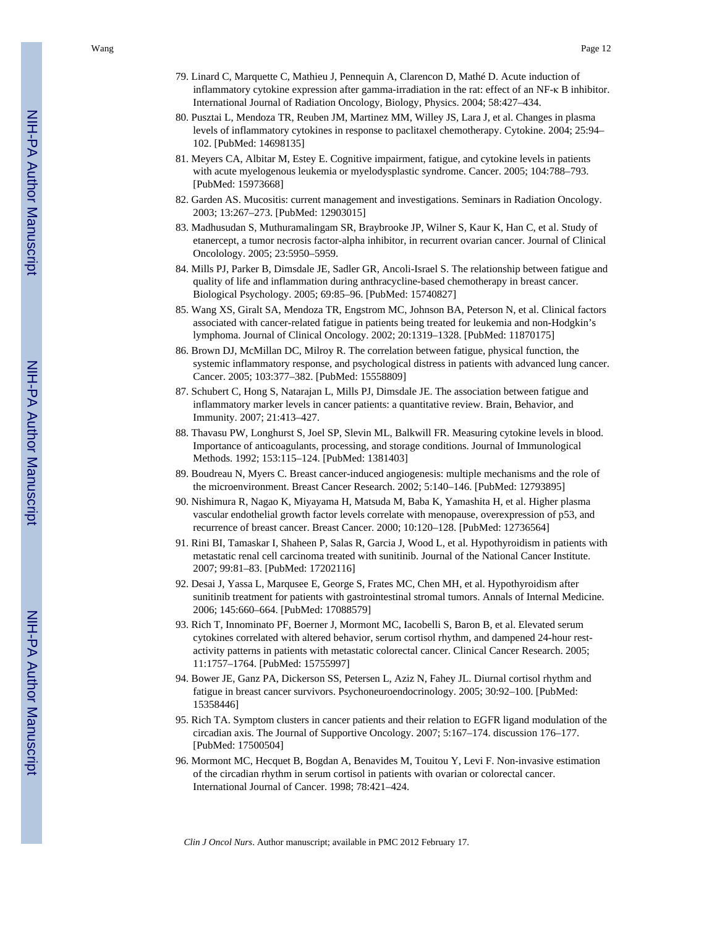- 79. Linard C, Marquette C, Mathieu J, Pennequin A, Clarencon D, Mathé D. Acute induction of inflammatory cytokine expression after gamma-irradiation in the rat: effect of an NF-κ B inhibitor. International Journal of Radiation Oncology, Biology, Physics. 2004; 58:427–434.
- 80. Pusztai L, Mendoza TR, Reuben JM, Martinez MM, Willey JS, Lara J, et al. Changes in plasma levels of inflammatory cytokines in response to paclitaxel chemotherapy. Cytokine. 2004; 25:94– 102. [PubMed: 14698135]
- 81. Meyers CA, Albitar M, Estey E. Cognitive impairment, fatigue, and cytokine levels in patients with acute myelogenous leukemia or myelodysplastic syndrome. Cancer. 2005; 104:788–793. [PubMed: 15973668]
- 82. Garden AS. Mucositis: current management and investigations. Seminars in Radiation Oncology. 2003; 13:267–273. [PubMed: 12903015]
- 83. Madhusudan S, Muthuramalingam SR, Braybrooke JP, Wilner S, Kaur K, Han C, et al. Study of etanercept, a tumor necrosis factor-alpha inhibitor, in recurrent ovarian cancer. Journal of Clinical Oncolology. 2005; 23:5950–5959.
- 84. Mills PJ, Parker B, Dimsdale JE, Sadler GR, Ancoli-Israel S. The relationship between fatigue and quality of life and inflammation during anthracycline-based chemotherapy in breast cancer. Biological Psychology. 2005; 69:85–96. [PubMed: 15740827]
- 85. Wang XS, Giralt SA, Mendoza TR, Engstrom MC, Johnson BA, Peterson N, et al. Clinical factors associated with cancer-related fatigue in patients being treated for leukemia and non-Hodgkin's lymphoma. Journal of Clinical Oncology. 2002; 20:1319–1328. [PubMed: 11870175]
- 86. Brown DJ, McMillan DC, Milroy R. The correlation between fatigue, physical function, the systemic inflammatory response, and psychological distress in patients with advanced lung cancer. Cancer. 2005; 103:377–382. [PubMed: 15558809]
- 87. Schubert C, Hong S, Natarajan L, Mills PJ, Dimsdale JE. The association between fatigue and inflammatory marker levels in cancer patients: a quantitative review. Brain, Behavior, and Immunity. 2007; 21:413–427.
- 88. Thavasu PW, Longhurst S, Joel SP, Slevin ML, Balkwill FR. Measuring cytokine levels in blood. Importance of anticoagulants, processing, and storage conditions. Journal of Immunological Methods. 1992; 153:115–124. [PubMed: 1381403]
- 89. Boudreau N, Myers C. Breast cancer-induced angiogenesis: multiple mechanisms and the role of the microenvironment. Breast Cancer Research. 2002; 5:140–146. [PubMed: 12793895]
- 90. Nishimura R, Nagao K, Miyayama H, Matsuda M, Baba K, Yamashita H, et al. Higher plasma vascular endothelial growth factor levels correlate with menopause, overexpression of p53, and recurrence of breast cancer. Breast Cancer. 2000; 10:120–128. [PubMed: 12736564]
- 91. Rini BI, Tamaskar I, Shaheen P, Salas R, Garcia J, Wood L, et al. Hypothyroidism in patients with metastatic renal cell carcinoma treated with sunitinib. Journal of the National Cancer Institute. 2007; 99:81–83. [PubMed: 17202116]
- 92. Desai J, Yassa L, Marqusee E, George S, Frates MC, Chen MH, et al. Hypothyroidism after sunitinib treatment for patients with gastrointestinal stromal tumors. Annals of Internal Medicine. 2006; 145:660–664. [PubMed: 17088579]
- 93. Rich T, Innominato PF, Boerner J, Mormont MC, Iacobelli S, Baron B, et al. Elevated serum cytokines correlated with altered behavior, serum cortisol rhythm, and dampened 24-hour restactivity patterns in patients with metastatic colorectal cancer. Clinical Cancer Research. 2005; 11:1757–1764. [PubMed: 15755997]
- 94. Bower JE, Ganz PA, Dickerson SS, Petersen L, Aziz N, Fahey JL. Diurnal cortisol rhythm and fatigue in breast cancer survivors. Psychoneuroendocrinology. 2005; 30:92–100. [PubMed: 15358446]
- 95. Rich TA. Symptom clusters in cancer patients and their relation to EGFR ligand modulation of the circadian axis. The Journal of Supportive Oncology. 2007; 5:167–174. discussion 176–177. [PubMed: 17500504]
- 96. Mormont MC, Hecquet B, Bogdan A, Benavides M, Touitou Y, Levi F. Non-invasive estimation of the circadian rhythm in serum cortisol in patients with ovarian or colorectal cancer. International Journal of Cancer. 1998; 78:421–424.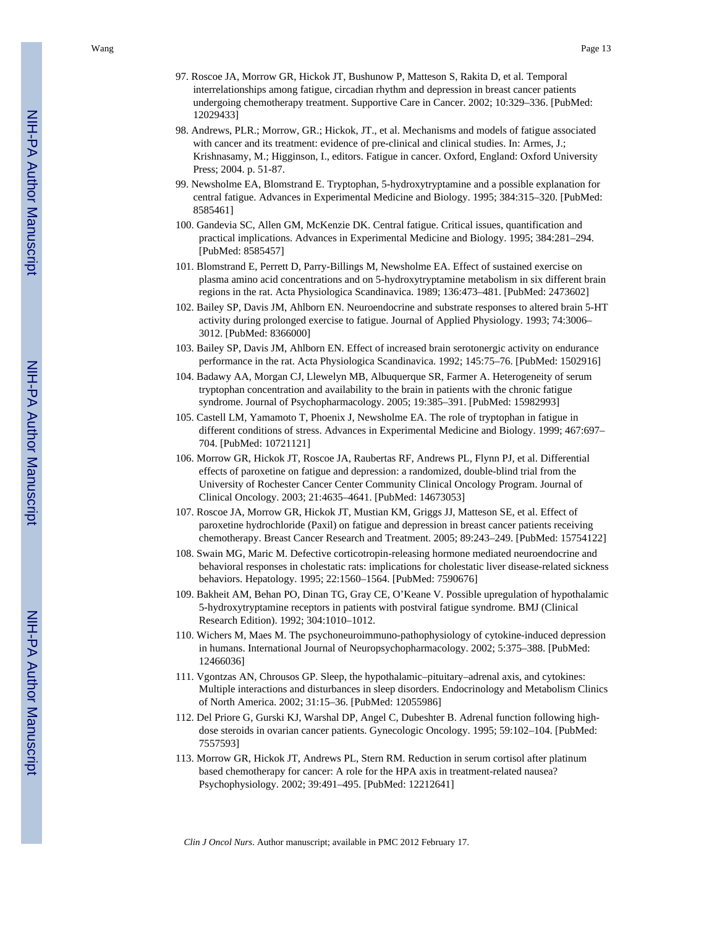- 97. Roscoe JA, Morrow GR, Hickok JT, Bushunow P, Matteson S, Rakita D, et al. Temporal interrelationships among fatigue, circadian rhythm and depression in breast cancer patients undergoing chemotherapy treatment. Supportive Care in Cancer. 2002; 10:329–336. [PubMed: 12029433]
- 98. Andrews, PLR.; Morrow, GR.; Hickok, JT., et al. Mechanisms and models of fatigue associated with cancer and its treatment: evidence of pre-clinical and clinical studies. In: Armes, J.; Krishnasamy, M.; Higginson, I., editors. Fatigue in cancer. Oxford, England: Oxford University Press; 2004. p. 51-87.
- 99. Newsholme EA, Blomstrand E. Tryptophan, 5-hydroxytryptamine and a possible explanation for central fatigue. Advances in Experimental Medicine and Biology. 1995; 384:315–320. [PubMed: 8585461]
- 100. Gandevia SC, Allen GM, McKenzie DK. Central fatigue. Critical issues, quantification and practical implications. Advances in Experimental Medicine and Biology. 1995; 384:281–294. [PubMed: 8585457]
- 101. Blomstrand E, Perrett D, Parry-Billings M, Newsholme EA. Effect of sustained exercise on plasma amino acid concentrations and on 5-hydroxytryptamine metabolism in six different brain regions in the rat. Acta Physiologica Scandinavica. 1989; 136:473–481. [PubMed: 2473602]
- 102. Bailey SP, Davis JM, Ahlborn EN. Neuroendocrine and substrate responses to altered brain 5-HT activity during prolonged exercise to fatigue. Journal of Applied Physiology. 1993; 74:3006– 3012. [PubMed: 8366000]
- 103. Bailey SP, Davis JM, Ahlborn EN. Effect of increased brain serotonergic activity on endurance performance in the rat. Acta Physiologica Scandinavica. 1992; 145:75–76. [PubMed: 1502916]
- 104. Badawy AA, Morgan CJ, Llewelyn MB, Albuquerque SR, Farmer A. Heterogeneity of serum tryptophan concentration and availability to the brain in patients with the chronic fatigue syndrome. Journal of Psychopharmacology. 2005; 19:385–391. [PubMed: 15982993]
- 105. Castell LM, Yamamoto T, Phoenix J, Newsholme EA. The role of tryptophan in fatigue in different conditions of stress. Advances in Experimental Medicine and Biology. 1999; 467:697– 704. [PubMed: 10721121]
- 106. Morrow GR, Hickok JT, Roscoe JA, Raubertas RF, Andrews PL, Flynn PJ, et al. Differential effects of paroxetine on fatigue and depression: a randomized, double-blind trial from the University of Rochester Cancer Center Community Clinical Oncology Program. Journal of Clinical Oncology. 2003; 21:4635–4641. [PubMed: 14673053]
- 107. Roscoe JA, Morrow GR, Hickok JT, Mustian KM, Griggs JJ, Matteson SE, et al. Effect of paroxetine hydrochloride (Paxil) on fatigue and depression in breast cancer patients receiving chemotherapy. Breast Cancer Research and Treatment. 2005; 89:243–249. [PubMed: 15754122]
- 108. Swain MG, Maric M. Defective corticotropin-releasing hormone mediated neuroendocrine and behavioral responses in cholestatic rats: implications for cholestatic liver disease-related sickness behaviors. Hepatology. 1995; 22:1560–1564. [PubMed: 7590676]
- 109. Bakheit AM, Behan PO, Dinan TG, Gray CE, O'Keane V. Possible upregulation of hypothalamic 5-hydroxytryptamine receptors in patients with postviral fatigue syndrome. BMJ (Clinical Research Edition). 1992; 304:1010–1012.
- 110. Wichers M, Maes M. The psychoneuroimmuno-pathophysiology of cytokine-induced depression in humans. International Journal of Neuropsychopharmacology. 2002; 5:375–388. [PubMed: 12466036]
- 111. Vgontzas AN, Chrousos GP. Sleep, the hypothalamic–pituitary–adrenal axis, and cytokines: Multiple interactions and disturbances in sleep disorders. Endocrinology and Metabolism Clinics of North America. 2002; 31:15–36. [PubMed: 12055986]
- 112. Del Priore G, Gurski KJ, Warshal DP, Angel C, Dubeshter B. Adrenal function following highdose steroids in ovarian cancer patients. Gynecologic Oncology. 1995; 59:102–104. [PubMed: 7557593]
- 113. Morrow GR, Hickok JT, Andrews PL, Stern RM. Reduction in serum cortisol after platinum based chemotherapy for cancer: A role for the HPA axis in treatment-related nausea? Psychophysiology. 2002; 39:491–495. [PubMed: 12212641]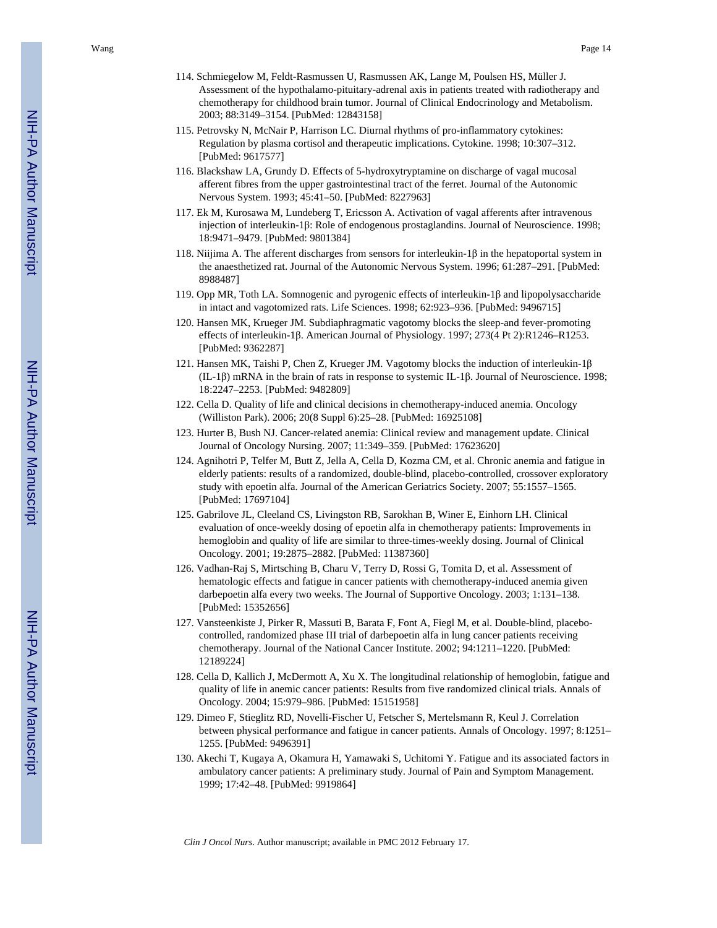- 114. Schmiegelow M, Feldt-Rasmussen U, Rasmussen AK, Lange M, Poulsen HS, Müller J. Assessment of the hypothalamo-pituitary-adrenal axis in patients treated with radiotherapy and chemotherapy for childhood brain tumor. Journal of Clinical Endocrinology and Metabolism. 2003; 88:3149–3154. [PubMed: 12843158]
- 115. Petrovsky N, McNair P, Harrison LC. Diurnal rhythms of pro-inflammatory cytokines: Regulation by plasma cortisol and therapeutic implications. Cytokine. 1998; 10:307–312. [PubMed: 9617577]
- 116. Blackshaw LA, Grundy D. Effects of 5-hydroxytryptamine on discharge of vagal mucosal afferent fibres from the upper gastrointestinal tract of the ferret. Journal of the Autonomic Nervous System. 1993; 45:41–50. [PubMed: 8227963]
- 117. Ek M, Kurosawa M, Lundeberg T, Ericsson A. Activation of vagal afferents after intravenous injection of interleukin-1 β: Role of endogenous prostaglandins. Journal of Neuroscience. 1998; 18:9471–9479. [PubMed: 9801384]
- 118. Niijima A. The afferent discharges from sensors for interleukin- $1\beta$  in the hepatoportal system in the anaesthetized rat. Journal of the Autonomic Nervous System. 1996; 61:287–291. [PubMed: 8988487]
- 119. Opp MR, Toth LA. Somnogenic and pyrogenic effects of interleukin-1 β and lipopolysaccharide in intact and vagotomized rats. Life Sciences. 1998; 62:923–936. [PubMed: 9496715]
- 120. Hansen MK, Krueger JM. Subdiaphragmatic vagotomy blocks the sleep-and fever-promoting effects of interleukin-1β. American Journal of Physiology. 1997; 273(4 Pt 2):R1246–R1253. [PubMed: 9362287]
- 121. Hansen MK, Taishi P, Chen Z, Krueger JM. Vagotomy blocks the induction of interleukin-1 β (IL-1 β) mRNA in the brain of rats in response to systemic IL-1 β. Journal of Neuroscience. 1998; 18:2247–2253. [PubMed: 9482809]
- 122. Cella D. Quality of life and clinical decisions in chemotherapy-induced anemia. Oncology (Williston Park). 2006; 20(8 Suppl 6):25–28. [PubMed: 16925108]
- 123. Hurter B, Bush NJ. Cancer-related anemia: Clinical review and management update. Clinical Journal of Oncology Nursing. 2007; 11:349–359. [PubMed: 17623620]
- 124. Agnihotri P, Telfer M, Butt Z, Jella A, Cella D, Kozma CM, et al. Chronic anemia and fatigue in elderly patients: results of a randomized, double-blind, placebo-controlled, crossover exploratory study with epoetin alfa. Journal of the American Geriatrics Society. 2007; 55:1557–1565. [PubMed: 17697104]
- 125. Gabrilove JL, Cleeland CS, Livingston RB, Sarokhan B, Winer E, Einhorn LH. Clinical evaluation of once-weekly dosing of epoetin alfa in chemotherapy patients: Improvements in hemoglobin and quality of life are similar to three-times-weekly dosing. Journal of Clinical Oncology. 2001; 19:2875–2882. [PubMed: 11387360]
- 126. Vadhan-Raj S, Mirtsching B, Charu V, Terry D, Rossi G, Tomita D, et al. Assessment of hematologic effects and fatigue in cancer patients with chemotherapy-induced anemia given darbepoetin alfa every two weeks. The Journal of Supportive Oncology. 2003; 1:131–138. [PubMed: 15352656]
- 127. Vansteenkiste J, Pirker R, Massuti B, Barata F, Font A, Fiegl M, et al. Double-blind, placebocontrolled, randomized phase III trial of darbepoetin alfa in lung cancer patients receiving chemotherapy. Journal of the National Cancer Institute. 2002; 94:1211–1220. [PubMed: 12189224]
- 128. Cella D, Kallich J, McDermott A, Xu X. The longitudinal relationship of hemoglobin, fatigue and quality of life in anemic cancer patients: Results from five randomized clinical trials. Annals of Oncology. 2004; 15:979–986. [PubMed: 15151958]
- 129. Dimeo F, Stieglitz RD, Novelli-Fischer U, Fetscher S, Mertelsmann R, Keul J. Correlation between physical performance and fatigue in cancer patients. Annals of Oncology. 1997; 8:1251– 1255. [PubMed: 9496391]
- 130. Akechi T, Kugaya A, Okamura H, Yamawaki S, Uchitomi Y. Fatigue and its associated factors in ambulatory cancer patients: A preliminary study. Journal of Pain and Symptom Management. 1999; 17:42–48. [PubMed: 9919864]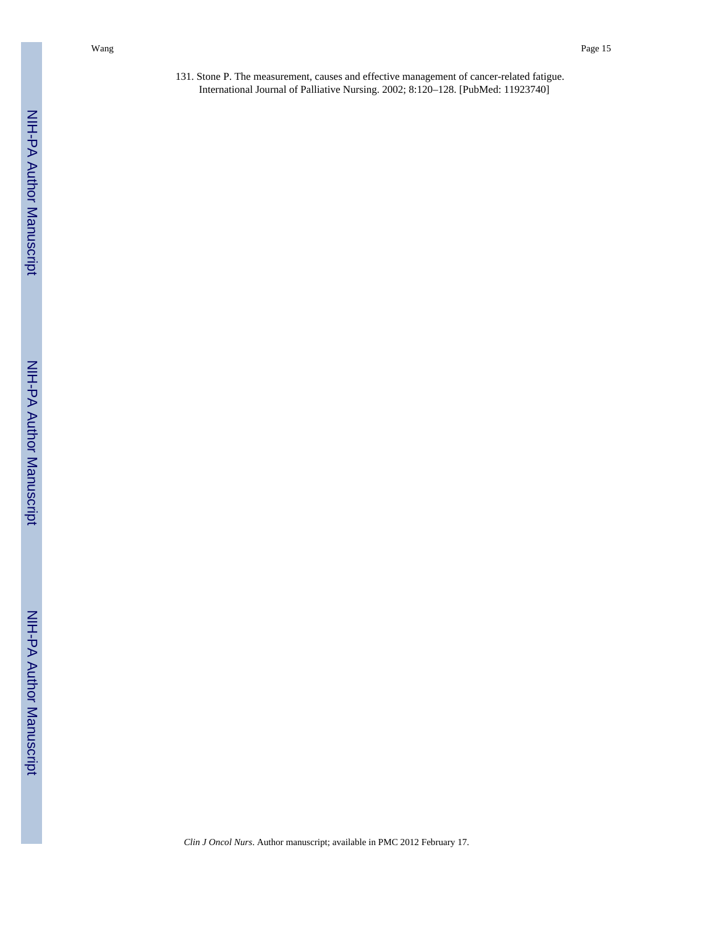131. Stone P. The measurement, causes and effective management of cancer-related fatigue. International Journal of Palliative Nursing. 2002; 8:120–128. [PubMed: 11923740]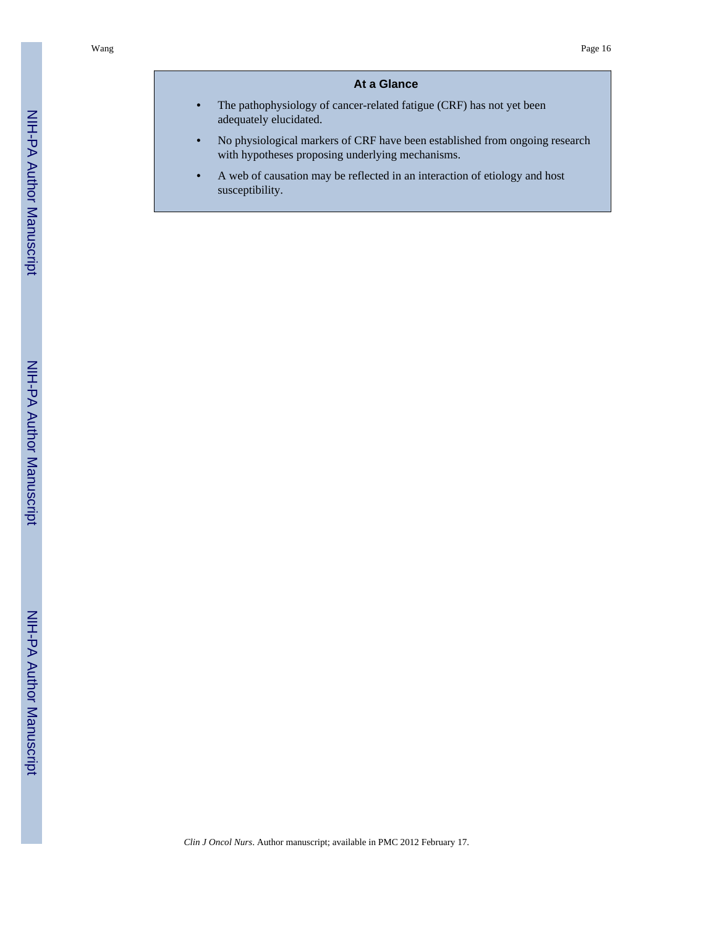# **At a Glance**

- **•** The pathophysiology of cancer-related fatigue (CRF) has not yet been adequately elucidated.
- **•** No physiological markers of CRF have been established from ongoing research with hypotheses proposing underlying mechanisms.
- **•** A web of causation may be reflected in an interaction of etiology and host susceptibility.